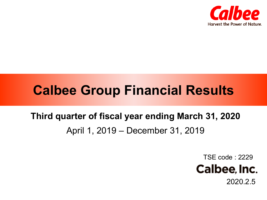

# **Calbee Group Financial Results**

# **Third quarter of fiscal year ending March 31, 2020** April 1, 2019 – December 31, 2019

TSE code : 2229



2020.2.5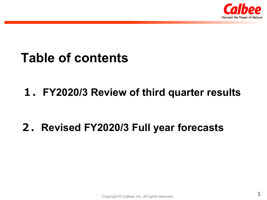

# **Table of contents**

## **1.FY2020/3 Review of third quarter results**

## **2.Revised FY2020/3 Full year forecasts**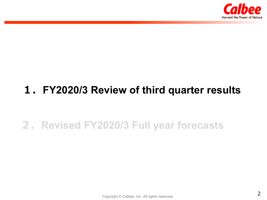

## **1.FY2020/3 Review of third quarter results**

## **2.Revised FY2020/3 Full year forecasts**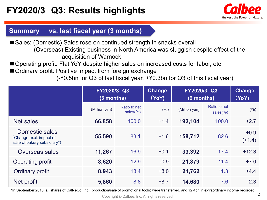

### **Summary vs. last fiscal year (3 months)**

■ Sales: (Domestic) Sales rose on continued strength in snacks overall (Overseas) Existing business in North America was sluggish despite effect of the acquisition of Warnock

■ Operating profit: Flat YoY despite higher sales on increased costs for labor, etc.

■ Ordinary profit: Positive impact from foreign exchange

(-¥0.5bn for Q3 of last fiscal year, +¥0.3bn for Q3 of this fiscal year)

|                                                                          | FY2020/3 Q3<br>$(3$ months) |                         | <b>Change</b><br>(YoY) | FY2020/3 Q3<br>(9 months) |                               | <b>Change</b><br>(YoY) |
|--------------------------------------------------------------------------|-----------------------------|-------------------------|------------------------|---------------------------|-------------------------------|------------------------|
|                                                                          | (Million yen)               | Ratio to net<br>sales%) | (%)                    | (Million yen)             | Ratio to net<br>sales $(\% )$ | (%)                    |
| <b>Net sales</b>                                                         | 66,858                      | 100.0                   | $+1.4$                 | 192,104                   | 100.0                         | $+2.7$                 |
| Domestic sales<br>(Change excl. impact of<br>sale of bakery subsidiary*) | 55,590                      | 83.1                    | $+1.6$                 | 158,712                   | 82.6                          | $+0.9$<br>$(+1.4)$     |
| <b>Overseas sales</b>                                                    | 11,267                      | 16.9                    | $+0.1$                 | 33,392                    | 17.4                          | $+12.3$                |
| <b>Operating profit</b>                                                  | 8,620                       | 12.9                    | $-0.9$                 | 21,879                    | 11.4                          | $+7.0$                 |
| <b>Ordinary profit</b>                                                   | 8,943                       | 13.4                    | $+8.0$                 | 21,762                    | 11.3                          | $+4.4$                 |
| Net profit                                                               | 5,860                       | 8.8                     | $+8.7$                 | 14,680                    | 7.6                           | $-2.3$                 |

\*In September 2018, all shares of CalNeCo, Inc. (production/sale of promotional tools) were transferred, and ¥2.4bn in extraordinary income recorded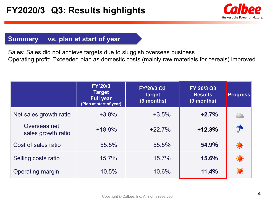

### **Summary vs. plan at start of year**

Sales: Sales did not achieve targets due to sluggish overseas business Operating profit: Exceeded plan as domestic costs (mainly raw materials for cereals) improved

|                         |                                    | <b>FY'20/3</b><br><b>Target</b><br><b>Full year</b><br>(Plan at start of year) | FY'20/3 Q3<br><b>Target</b><br>(9 months) | FY'20/3 Q3<br><b>Results</b><br>$(9$ months) | <b>Progress</b> |
|-------------------------|------------------------------------|--------------------------------------------------------------------------------|-------------------------------------------|----------------------------------------------|-----------------|
|                         | Net sales growth ratio             | $+3.8%$                                                                        | $+3.5%$                                   | $+2.7%$                                      |                 |
|                         | Overseas net<br>sales growth ratio | $+18.9%$                                                                       | $+22.7%$                                  | $+12.3%$                                     |                 |
|                         | Cost of sales ratio                | 55.5%                                                                          | 55.5%                                     | 54.9%                                        |                 |
| Selling costs ratio     |                                    | 15.7%                                                                          | 15.7%                                     | 15.6%                                        |                 |
| <b>Operating margin</b> |                                    | 10.5%                                                                          | 10.6%                                     | 11.4%                                        |                 |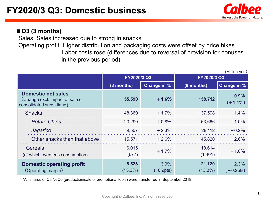

### **■Q3 (3 months)**

Sales: Sales increased due to strong in snacks

Operating profit: Higher distribution and packaging costs were offset by price hikes Labor costs rose (differences due to reversal of provision for bonuses in the previous period)

|                                                                                           | FY2020/3 Q3               |                       | FY2020/3 Q3          |                        |  |
|-------------------------------------------------------------------------------------------|---------------------------|-----------------------|----------------------|------------------------|--|
|                                                                                           | Change in %<br>(3 months) |                       | (9 months)           | <b>Change in %</b>     |  |
| <b>Domestic net sales</b><br>(Change excl. impact of sale of<br>consolidated subsidiary*) | 55,590                    | $+1.6%$               | 158,712              | $+0.9%$<br>$(+1.4\%)$  |  |
| <b>Snacks</b>                                                                             | 48,369                    | $+1.7%$               | 137,598              | $+1.4%$                |  |
| <b>Potato Chips</b>                                                                       | 23,290                    | $+0.8%$               | 63,666               | $+1.0%$                |  |
| Jagarico                                                                                  | 9,507                     | $+2.3%$               | 28,112               | $+0.2%$                |  |
| Other snacks than that above                                                              | 15,571                    | $+2.6%$               | 45,820               | $+2.6%$                |  |
| <b>Cereals</b><br>(of which overseas consumption)                                         | 6,015<br>(677)            | $+1.7%$               | 18,614<br>(1,401)    | $+1.6%$                |  |
| <b>Domestic operating profit</b><br>(Operating margin)                                    | 8,523<br>$(15.3\%)$       | $-3.9\%$<br>(−0.9pts) | 21,120<br>$(13.3\%)$ | $+2.3%$<br>$(+0.2pts)$ |  |

\*All shares of CalNeCo (production/sale of promotional tools) were transferred in September 2018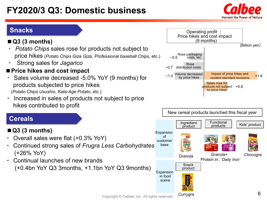## **FY2020/3 Q3: Domestic business**



### **Snacks**



- *Potato Chips sales rose for products not subject to* price hikes (*Potato Chips Giza Giza*, *Professional baseball Chips,* etc.)
- ・ Strong sales for *Jagarico*

### **■Price hikes and cost impact**

- Sales volume decreased -5.0% YoY (9 months) for products subjected to price hikes (*Potato Chips Usushio*, *Kata-Age Potato*, etc.)
- Increased in sales of products not subject to price hikes contributed to profit

### **Cereals**

### **■Q3 (3 months)**

- Overall sales were flat (+0.3% YoY)
- ・ Continued strong sales of *Frugra Less Carbohydrates* (+26% YoY)
- Continual launches of new brands (+0.4bn YoY Q3 3months, +1.1bn YoY Q3 9months)



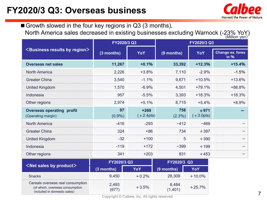

■ Growth slowed in the four key regions in Q3 (3 months), North America sales decreased in existing businesses excluding Warnock (-23% YoY) (Million yen) **<Business results by region> FY2020/3 Q3 FY2020/3 Q3 (3 months) YoY (9 months) YoY Change ex. forex in % Overseas net sales 11,267 +0.1% 33,392 +12.3% +15.4%** North America 2,226 +3.8% 7,110 -2.9% -1.5% Greater China 3,540 -1.1% 9,671 +10.5% +13.6% United Kingdom **1,570** -6.9% 4,501 +79.1% +88.8% Indonesia 957 -5.5% 3,393 +18.3% +18.3% Other regions 2,974 +5.1% 8,715 +5.4% +8.9% **Overseas operating profit** (Operating margin) **97** (0.9%) **+269**  $(+2.4pts)$ **758** (2.3%) **+971**  $(+3.0pts)$ **ー** North America -416 -416 -293 −412 -469 - −469 − Greater China 324 +86 734 +397 ー United Kingdom -32 +100 5 +390 Indonesia -119 +172 −399 +199 − Other regions 2008 - 203 541 + 203 831 + 453 + 453 + 203 + 453 + 203 + 203 + 203 + 453 + 203 + 203 + 203 + 203

|                                                                                                     | FY2020/3 Q3    |         | FY2020/3 Q3      |           |  |
|-----------------------------------------------------------------------------------------------------|----------------|---------|------------------|-----------|--|
| $\leq$ Net sales by product $\geq$                                                                  | (3 months)     | YoY     | (9 months)       | YoY       |  |
| <b>Snacks</b>                                                                                       | 9,450          | $+0.2%$ | 28,309           | $+10.0\%$ |  |
| Cereals overseas real consumption<br>(of which, overseas consumption<br>included in domestic sales) | 2,493<br>(677) | $+3.5%$ | 6,484<br>(1,401) | $+25.7%$  |  |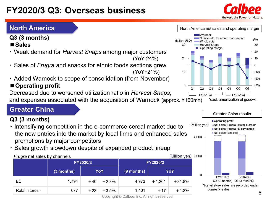## **FY2020/3 Q3: Overseas business**

## **North America**

**Q3 (3 months)**

### **■Sales**

- ・ Weak demand for *Harvest Snaps* among major customers (YoY-24%)
- ・ Sales of *Frugra* and snacks for ethnic foods sections grew (YoY+21%)
- ・ Added Warnock to scope of consolidation (from November)

## ■**Operating profit**

Decreased due to worsened utilization ratio in *Harvest Snaps*,

and expenses associated with the acquisition of Warnock (approx. ¥160mn)

## **Greater China**

### **Q3 (3 months)**

- ・ Intensifying competition in the e-commerce cereal market due to the new entries into the market by local firms and enhanced sales promotions by major competitors
- ・ Sales growth slowdown despite of expanded product lineup

#### *Frugra* net sales by channels (Million yen) 2,000

| <u>.</u>        |              | FY2020/3 |         | FY2020/3     |          |          |  |
|-----------------|--------------|----------|---------|--------------|----------|----------|--|
|                 | $(3$ months) | YoY      |         | $(9$ months) |          | YoY      |  |
| EC              | 1,794        | $+40$    | $+2.3%$ | 4,973        | $+1,201$ | $+31.8%$ |  |
| Retail stores * | 677          | $+23$    | $+3.5%$ | 1,401        | $+17$    | $+1.2%$  |  |



#### $\blacksquare$ Warnock Snacks etc. for ethnic food section  $(9/0)$ (Million USD) Whole cuts 30 **Harvest Snaps** 30 - Operating margin 20 20 10  $\Omega$ 10  $(10)$  $(20)$  $\Omega$  $(30)$  $O<sub>1</sub>$  $O<sub>2</sub>$  $O<sub>3</sub>$  $Q<sub>4</sub>$  $O<sub>1</sub>$  $O<sub>2</sub>$  $O<sub>3</sub>$ FY2019/3  $\perp$   $\perp$  FY2020/3  $\perp$ \*excl. amortization of goodwill

North America net sales and operating margin

### Net sales (Snacks) 4,000  $\Omega$ FY2019/3 FY2020/3 Q3 (3 months) Q3 (3 months) \*Retail store sales are recorded under domestic sales 8

**Greater China results** 

**Divided** (Frugra: Retail stores)\* Net sales (Frugra : E-commerce)

Operating profit





(Million ven)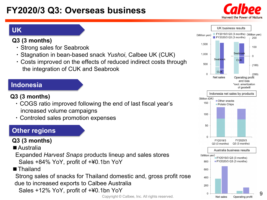## **FY2020/3 Q3: Overseas business**





### **Q3 (3 months)**

- ・ Strong sales for Seabrook
- ・ Stagnation in bean-based snack *Yushoi*, Calbee UK (CUK)
- ・ Costs improved on the effects of reduced indirect costs through the integration of CUK and Seabrook

### **Indonesia**

- **Q3 (3 months)**
	- ・ COGS ratio improved following the end of last fiscal year's increased volume campaigns
	- ・ Controled sales promotion expenses

## **Other regions**

### **Q3 (3 months)**

■ Australia

Expanded *Harvest Snaps* products lineup and sales stores Sales +84% YoY, profit of +¥0.1bn YoY

■Thailand

Strong sales of snacks for Thailand domestic and, gross profit rose due to increased exports to Calbee Australia

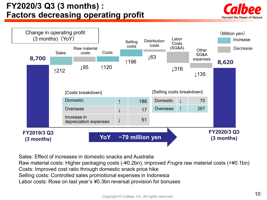## **FY2020/3 Q3 (3 months) : Factors decreasing operating profit**





Sales: Effect of increases in domestic snacks and Australia

Raw material costs: Higher packaging costs (-¥0.2bn), improved *Frugra* raw material costs (+¥0.1bn)

Costs: Improved cost ratio through domestic snack price hike

Selling costs: Controlled sales promotional expenses in Indonesia

Labor costs: Rose on last year's ¥0.3bn reversal provision for bonuses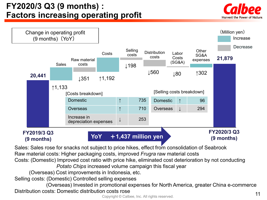## **FY2020/3 Q3 (9 months) : Factors increasing operating profit**



The costs rose of the costs rose of the costs rose of the costs rose of the costs rose of the costs in the costs of the costs of the costs of the costs of the costs of the costs of the costs of the costs of the costs of th (Overseas) Invested in promotional expenses for North America, greater China e-commerce Distribution costs: Domestic distribution costs rose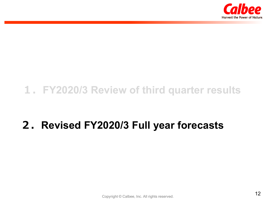

## **1.FY2020/3 Review of third quarter results**

## **2.Revised FY2020/3 Full year forecasts**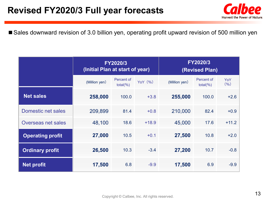

■ Sales downward revision of 3.0 billion yen, operating profit upward revision of 500 million yen

|                         | (Initial Plan at start of year) | FY2020/3                   |         | <b>FY2020/3</b><br>(Revised Plan) |                            |              |  |
|-------------------------|---------------------------------|----------------------------|---------|-----------------------------------|----------------------------|--------------|--|
|                         | (Million yen)                   | Percent of<br>total $(% )$ | YoY (%) | (Million yen)                     | Percent of<br>$total(\% )$ | YoY<br>(9/6) |  |
| Net sales               | 258,000                         | 100.0                      | $+3.8$  | 255,000                           | 100.0                      | $+2.6$       |  |
| Domestic net sales      | 209,899                         | 81.4                       | $+0.8$  | 210,000                           | 82.4                       | $+0.9$       |  |
| Overseas net sales      | 48,100                          | 18.6                       | $+18.9$ | 45,000                            | 17.6                       | $+11.2$      |  |
| <b>Operating profit</b> | 27,000                          | 10.5                       | $+0.1$  | 27,500                            | 10.8                       | $+2.0$       |  |
| <b>Ordinary profit</b>  | 26,500                          | 10.3                       | $-3.4$  | 27,200                            | 10.7                       | $-0.8$       |  |
| <b>Net profit</b>       | 17,500                          | 6.8                        | $-9.9$  | 17,500                            | 6.9                        | $-9.9$       |  |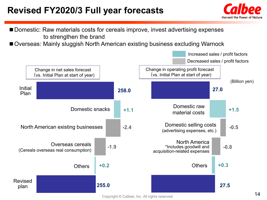## **Revised FY2020/3 Full year forecasts**





■ Overseas: Mainly sluggish North American existing business excluding Warnock



Copyright © Calbee, Inc. All rights reserved.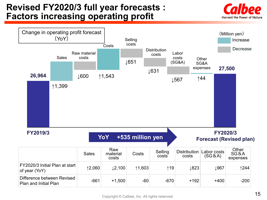## **Revised FY2020/3 full year forecasts : Factors increasing operating profit**



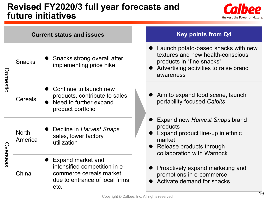## **Revised FY2020/3 full year forecasts and future initiatives**



|                                     | <b>Current status and issues</b> |                                                                                                                          |  | <b>Key points from Q4</b>                                                                                                                                   |
|-------------------------------------|----------------------------------|--------------------------------------------------------------------------------------------------------------------------|--|-------------------------------------------------------------------------------------------------------------------------------------------------------------|
| Domestic                            | <b>Snacks</b>                    | Snacks strong overall after<br>implementing price hike                                                                   |  | Launch potato-based snacks with new<br>textures and new health-conscious<br>products in "fine snacks"<br>Advertising activities to raise brand<br>awareness |
| <b>Cereals</b><br>product portfolio |                                  | Continue to launch new<br>products, contribute to sales<br>• Need to further expand                                      |  | Aim to expand food scene, launch<br>portability-focused Calbits                                                                                             |
| Overseas                            | <b>North</b><br>America          | Decline in Harvest Snaps<br>sales, lower factory<br>utilization                                                          |  | Expand new Harvest Snaps brand<br>products<br>Expand product line-up in ethnic<br>market<br>Release products through<br>collaboration with Warnock          |
|                                     | China                            | Expand market and<br>intensified competition in e-<br>commerce cereals market<br>due to entrance of local firms,<br>etc. |  | Proactively expand marketing and<br>promotions in e-commerce<br>Activate demand for snacks                                                                  |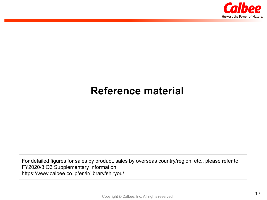

## **Reference material**

For detailed figures for sales by product, sales by overseas country/region, etc., please refer to FY2020/3 Q3 Supplementary Information. https://www.calbee.co.jp/en/ir/library/shiryou/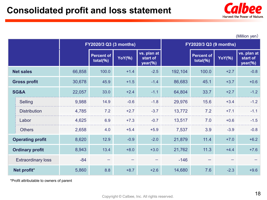

(Million yen)

|                           |                         | FY2020/3 Q3 (3 months) |                        |               | <b>FY2020/3 Q3 (9 months)</b>      |         |                        |               |                                    |
|---------------------------|-------------------------|------------------------|------------------------|---------------|------------------------------------|---------|------------------------|---------------|------------------------------------|
|                           |                         |                        | Percent of<br>total(%) | <b>YoY(%)</b> | vs. plan at<br>start of<br>year(%) |         | Percent of<br>total(%) | <b>YoY(%)</b> | vs. plan at<br>start of<br>year(%) |
|                           | <b>Net sales</b>        | 66,858                 | 100.0                  | $+1.4$        | $-2.5$                             | 192,104 | 100.0                  | $+2.7$        | $-0.8$                             |
|                           | <b>Gross profit</b>     | 30,678                 | 45.9                   | $+1.5$        | $-1.4$                             | 86,683  | 45.1                   | $+3.7$        | $+0.6$                             |
|                           | SG&A                    | 22,057                 | 33.0                   | $+2.4$        | $-1.1$                             | 64,804  | 33.7                   | $+2.7$        | $-1.2$                             |
|                           | Selling                 | 9,988                  | 14.9                   | $-0.6$        | $-1.8$                             | 29,976  | 15.6                   | $+3.4$        | $-1.2$                             |
|                           | <b>Distribution</b>     | 4,785                  | 7.2                    | $+2.7$        | $-3.7$                             | 13,772  | 7.2                    | $+7.1$        | $-1.1$                             |
|                           | Labor                   | 4,625                  | 6.9                    | $+7.3$        | $-0.7$                             | 13,517  | 7.0                    | $+0.6$        | $-1.5$                             |
|                           | <b>Others</b>           | 2,658                  | 4.0                    | $+5.4$        | $+5.9$                             | 7,537   | 3.9                    | $-3.9$        | $-0.8$                             |
|                           | <b>Operating profit</b> | 8,620                  | 12.9                   | $-0.9$        | $-2.0$                             | 21,879  | 11.4                   | $+7.0$        | $+6.2$                             |
| <b>Ordinary profit</b>    |                         | 8,943                  | 13.4                   | $+8.0$        | $+3.0$                             | 21,762  | 11.3                   | $+4.4$        | $+7.6$                             |
| <b>Extraordinary loss</b> |                         | $-84$                  |                        |               |                                    | $-146$  |                        |               |                                    |
| Net profit*               |                         | 5,860                  | 8.8                    | $+8.7$        | $+2.6$                             | 14,680  | 7.6                    | $-2.3$        | $+9.6$                             |

\*Profit attributable to owners of parent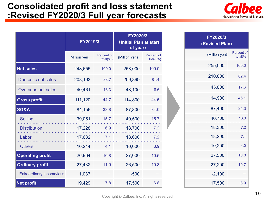## **Consolidated profit and loss statement :Revised FY2020/3 Full year forecasts**



|                                  | FY2019/3      |                            | FY2020/3<br>(Initial Plan at start<br>of year) |                            |  |
|----------------------------------|---------------|----------------------------|------------------------------------------------|----------------------------|--|
|                                  | (Million yen) | Percent of<br>total $(% )$ | (Million yen)                                  | Percent of<br>$total(\% )$ |  |
| <b>Net sales</b>                 | 248,655       | 100.0                      | 258,000                                        | 100.0                      |  |
| <b>Domestic net sales</b>        | 208,193       | 83.7                       | 209,899                                        | 81.4                       |  |
| Overseas net sales               | 40,461        | 16.3                       | 48,100                                         | 18.6                       |  |
| <b>Gross profit</b>              | 111,120       | 44.7                       | 114,800                                        | 44.5                       |  |
| <b>SG&amp;A</b>                  | 84,156        | 33.8                       | 87,800                                         | 34.0                       |  |
| <b>Selling</b>                   | 39,051        | 15.7                       | 40,500                                         | 15.7                       |  |
| <b>Distribution</b>              | 17,228        | 6.9                        | 18,700                                         | 7.2                        |  |
| Labor                            | 17,632        | 7.1                        | 18,600                                         | 7.2                        |  |
| <b>Others</b>                    | 10,244        | 4.1                        | 10,000                                         | 3.9                        |  |
| <b>Operating profit</b>          | 26,964        | 10.8                       | 27,000                                         | 10.5                       |  |
| <b>Ordinary profit</b>           | 27,432        | 11.0                       | 26,500                                         | 10.3                       |  |
| <b>Extraordinary income/loss</b> | 1,037         |                            | $-500$                                         |                            |  |
| <b>Net profit</b>                | 19,429<br>7.8 |                            | 17,500                                         | 6.8                        |  |

| FY2020/3<br>(Revised Plan) |                        |  |  |  |  |  |
|----------------------------|------------------------|--|--|--|--|--|
| (Million yen)              | Percent of<br>total(%) |  |  |  |  |  |
| 255,000                    | 100.0                  |  |  |  |  |  |
| 210,000                    | 82.4                   |  |  |  |  |  |
| 45,000                     | 17.6                   |  |  |  |  |  |
| 114,900                    | 45.1                   |  |  |  |  |  |
| 87,400                     | 34.3                   |  |  |  |  |  |
| 40,700                     | 16.0                   |  |  |  |  |  |
| 18,300                     | 7.2                    |  |  |  |  |  |
| 18,200                     | 7.1                    |  |  |  |  |  |
| 10,200                     | 4.0                    |  |  |  |  |  |
| 27,500                     | 10.8                   |  |  |  |  |  |
| 27,200                     | 10.7                   |  |  |  |  |  |
| $-2,100$                   |                        |  |  |  |  |  |
| 17,500                     | 6.9                    |  |  |  |  |  |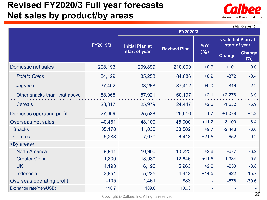## **Revised FY2020/3 Full year forecasts Net sales by product/by areas**



|                              |          |                        |                     |         |                                      | (Million yen)           |  |  |  |  |
|------------------------------|----------|------------------------|---------------------|---------|--------------------------------------|-------------------------|--|--|--|--|
|                              |          | FY2020/3               |                     |         |                                      |                         |  |  |  |  |
|                              | FY2019/3 | <b>Initial Plan at</b> | <b>Revised Plan</b> | YoY     | vs. Initial Plan at<br>start of year |                         |  |  |  |  |
|                              |          | start of year          |                     | (96)    | <b>Change</b>                        | <b>Change</b><br>$(\%)$ |  |  |  |  |
| Domestic net sales           | 208,193  | 209,899                | 210,000             | $+0.9$  | $+101$                               | $+0.0$                  |  |  |  |  |
| <b>Potato Chips</b>          | 84,129   | 85,258                 | 84,886              | $+0.9$  | $-372$                               | $-0.4$                  |  |  |  |  |
| Jagarico                     | 37,402   | 38,258                 | 37,412              | $+0.0$  | $-846$                               | $-2.2$                  |  |  |  |  |
| Other snacks than that above | 58,968   | 57,921                 | 60,197              | $+2.1$  | $+2,276$                             | $+3.9$                  |  |  |  |  |
| <b>Cereals</b>               | 23,817   | 25,979                 | 24,447              | $+2.6$  | $-1,532$                             | $-5.9$                  |  |  |  |  |
| Domestic operating profit    | 27,069   | 25,538                 | 26,616              | $-1.7$  | $+1,078$                             | $+4.2$                  |  |  |  |  |
| <b>Overseas net sales</b>    | 40,461   | 48,100                 | 45,000              | $+11.2$ | $-3,100$                             | $-6.4$                  |  |  |  |  |
| <b>Snacks</b>                | 35,178   | 41,030                 | 38,582              | $+9.7$  | $-2,448$                             | $-6.0$                  |  |  |  |  |
| <b>Cereals</b>               | 5,283    | 7,070                  | 6,418               | $+21.5$ | $-652$                               | $-9.2$                  |  |  |  |  |
| <by areas=""></by>           |          |                        |                     |         |                                      |                         |  |  |  |  |
| <b>North America</b>         | 9,941    | 10,900                 | 10,223              | $+2.8$  | $-677$                               | $-6.2$                  |  |  |  |  |
| <b>Greater China</b>         | 11,339   | 13,980                 | 12,646              | $+11.5$ | $-1,334$                             | $-9.5$                  |  |  |  |  |
| <b>UK</b>                    | 4,193    | 6,196                  | 5,963               | $+42.2$ | $-233$                               | $-3.8$                  |  |  |  |  |
| <b>Indonesia</b>             | 3,854    | 5,235                  | 4,413               | $+14.5$ | $-822$                               | $-15.7$                 |  |  |  |  |
| Overseas operating profit    | $-105$   | 1,461                  | 883                 |         | $-578$                               | $-39.6$                 |  |  |  |  |
| Exchange rate(Yen/USD)       | 110.7    | 109.0                  | 109.0               |         |                                      |                         |  |  |  |  |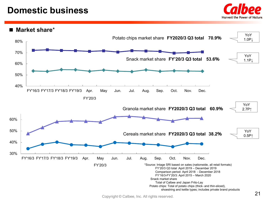## **Domestic business**